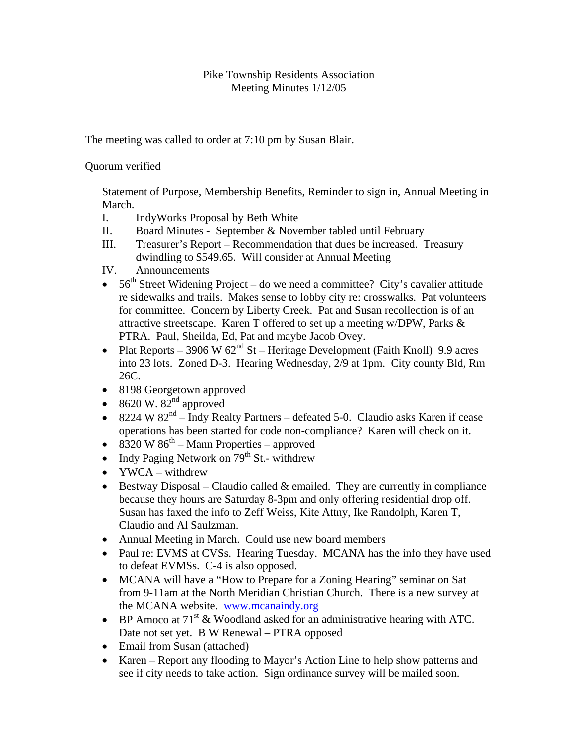## Pike Township Residents Association Meeting Minutes 1/12/05

The meeting was called to order at 7:10 pm by Susan Blair.

Quorum verified

Statement of Purpose, Membership Benefits, Reminder to sign in, Annual Meeting in March.

- I. IndyWorks Proposal by Beth White
- II. Board Minutes September & November tabled until February
- III. Treasurer's Report Recommendation that dues be increased. Treasury dwindling to \$549.65. Will consider at Annual Meeting
- IV. Announcements
- $56<sup>th</sup>$  Street Widening Project do we need a committee? City's cavalier attitude re sidewalks and trails. Makes sense to lobby city re: crosswalks. Pat volunteers for committee. Concern by Liberty Creek. Pat and Susan recollection is of an attractive streetscape. Karen T offered to set up a meeting w/DPW, Parks & PTRA. Paul, Sheilda, Ed, Pat and maybe Jacob Ovey.
- Plat Reports 3906 W  $62<sup>nd</sup>$  St Heritage Development (Faith Knoll) 9.9 acres into 23 lots. Zoned D-3. Hearing Wednesday, 2/9 at 1pm. City county Bld, Rm 26C.
- 8198 Georgetown approved
- 8620 W.  $82<sup>nd</sup>$  approved
- 8224 W  $82<sup>nd</sup>$  Indy Realty Partners defeated 5-0. Claudio asks Karen if cease operations has been started for code non-compliance? Karen will check on it.
- 8320 W  $86^{\text{th}}$  Mann Properties approved
- Indy Paging Network on  $79^{th}$  St.- withdrew
- YWCA withdrew
- Bestway Disposal Claudio called  $&$  emailed. They are currently in compliance because they hours are Saturday 8-3pm and only offering residential drop off. Susan has faxed the info to Zeff Weiss, Kite Attny, Ike Randolph, Karen T, Claudio and Al Saulzman.
- Annual Meeting in March. Could use new board members
- Paul re: EVMS at CVSs. Hearing Tuesday. MCANA has the info they have used to defeat EVMSs. C-4 is also opposed.
- MCANA will have a "How to Prepare for a Zoning Hearing" seminar on Sat from 9-11am at the North Meridian Christian Church. There is a new survey at the MCANA website. www.mcanaindy.org
- BP Amoco at  $71<sup>st</sup>$  & Woodland asked for an administrative hearing with ATC. Date not set yet. B W Renewal – PTRA opposed
- Email from Susan (attached)
- Karen Report any flooding to Mayor's Action Line to help show patterns and see if city needs to take action. Sign ordinance survey will be mailed soon.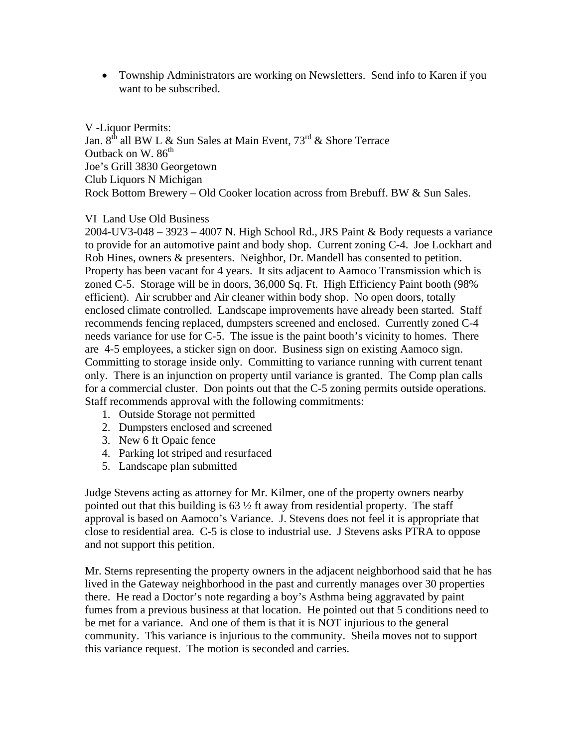• Township Administrators are working on Newsletters. Send info to Karen if you want to be subscribed.

V -Liquor Permits: Jan.  $8^{th}$  all BW L & Sun Sales at Main Event,  $73^{rd}$  & Shore Terrace Outback on W. 86<sup>th</sup> Joe's Grill 3830 Georgetown Club Liquors N Michigan Rock Bottom Brewery – Old Cooker location across from Brebuff. BW & Sun Sales.

## VI Land Use Old Business

2004-UV3-048 – 3923 – 4007 N. High School Rd., JRS Paint & Body requests a variance to provide for an automotive paint and body shop. Current zoning C-4. Joe Lockhart and Rob Hines, owners & presenters. Neighbor, Dr. Mandell has consented to petition. Property has been vacant for 4 years. It sits adjacent to Aamoco Transmission which is zoned C-5. Storage will be in doors, 36,000 Sq. Ft. High Efficiency Paint booth (98% efficient). Air scrubber and Air cleaner within body shop. No open doors, totally enclosed climate controlled. Landscape improvements have already been started. Staff recommends fencing replaced, dumpsters screened and enclosed. Currently zoned C-4 needs variance for use for C-5. The issue is the paint booth's vicinity to homes. There are 4-5 employees, a sticker sign on door. Business sign on existing Aamoco sign. Committing to storage inside only. Committing to variance running with current tenant only. There is an injunction on property until variance is granted. The Comp plan calls for a commercial cluster. Don points out that the C-5 zoning permits outside operations. Staff recommends approval with the following commitments:

- 1. Outside Storage not permitted
- 2. Dumpsters enclosed and screened
- 3. New 6 ft Opaic fence
- 4. Parking lot striped and resurfaced
- 5. Landscape plan submitted

Judge Stevens acting as attorney for Mr. Kilmer, one of the property owners nearby pointed out that this building is  $63\frac{1}{2}$  ft away from residential property. The staff approval is based on Aamoco's Variance. J. Stevens does not feel it is appropriate that close to residential area. C-5 is close to industrial use. J Stevens asks PTRA to oppose and not support this petition.

Mr. Sterns representing the property owners in the adjacent neighborhood said that he has lived in the Gateway neighborhood in the past and currently manages over 30 properties there. He read a Doctor's note regarding a boy's Asthma being aggravated by paint fumes from a previous business at that location. He pointed out that 5 conditions need to be met for a variance. And one of them is that it is NOT injurious to the general community. This variance is injurious to the community. Sheila moves not to support this variance request. The motion is seconded and carries.